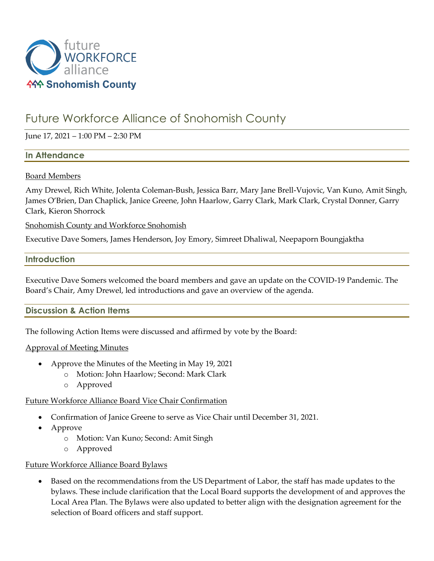

# Future Workforce Alliance of Snohomish County

## June 17, 2021 – 1:00 PM – 2:30 PM

### **In Attendance**

### Board Members

Amy Drewel, Rich White, Jolenta Coleman-Bush, Jessica Barr, Mary Jane Brell-Vujovic, Van Kuno, Amit Singh, James O'Brien, Dan Chaplick, Janice Greene, John Haarlow, Garry Clark, Mark Clark, Crystal Donner, Garry Clark, Kieron Shorrock

Snohomish County and Workforce Snohomish

Executive Dave Somers, James Henderson, Joy Emory, Simreet Dhaliwal, Neepaporn Boungjaktha

### **Introduction**

Executive Dave Somers welcomed the board members and gave an update on the COVID-19 Pandemic. The Board's Chair, Amy Drewel, led introductions and gave an overview of the agenda.

### **Discussion & Action Items**

The following Action Items were discussed and affirmed by vote by the Board:

### Approval of Meeting Minutes

- Approve the Minutes of the Meeting in May 19, 2021
	- o Motion: John Haarlow; Second: Mark Clark
	- o Approved

### Future Workforce Alliance Board Vice Chair Confirmation

- Confirmation of Janice Greene to serve as Vice Chair until December 31, 2021.
- Approve
	- o Motion: Van Kuno; Second: Amit Singh
	- o Approved

### Future Workforce Alliance Board Bylaws

• Based on the recommendations from the US Department of Labor, the staff has made updates to the bylaws. These include clarification that the Local Board supports the development of and approves the Local Area Plan. The Bylaws were also updated to better align with the designation agreement for the selection of Board officers and staff support.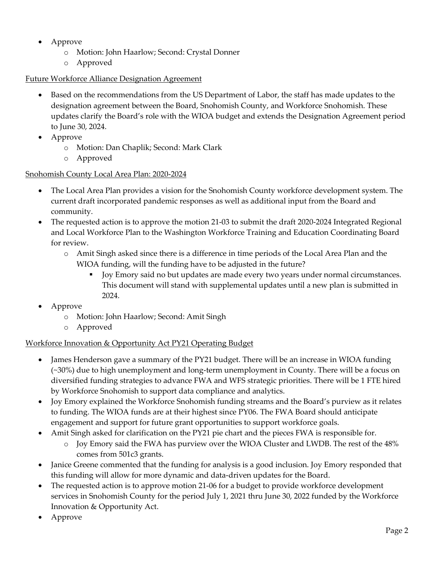- Approve
	- o Motion: John Haarlow; Second: Crystal Donner
	- o Approved

## Future Workforce Alliance Designation Agreement

- Based on the recommendations from the US Department of Labor, the staff has made updates to the designation agreement between the Board, Snohomish County, and Workforce Snohomish. These updates clarify the Board's role with the WIOA budget and extends the Designation Agreement period to June 30, 2024.
- Approve
	- o Motion: Dan Chaplik; Second: Mark Clark
	- o Approved

# Snohomish County Local Area Plan: 2020-2024

- The Local Area Plan provides a vision for the Snohomish County workforce development system. The current draft incorporated pandemic responses as well as additional input from the Board and community.
- The requested action is to approve the motion 21-03 to submit the draft 2020-2024 Integrated Regional and Local Workforce Plan to the Washington Workforce Training and Education Coordinating Board for review.
	- o Amit Singh asked since there is a difference in time periods of the Local Area Plan and the WIOA funding, will the funding have to be adjusted in the future?
		- **•** Joy Emory said no but updates are made every two years under normal circumstances. This document will stand with supplemental updates until a new plan is submitted in 2024.
- Approve
	- o Motion: John Haarlow; Second: Amit Singh
	- o Approved

# Workforce Innovation & Opportunity Act PY21 Operating Budget

- James Henderson gave a summary of the PY21 budget. There will be an increase in WIOA funding (~30%) due to high unemployment and long-term unemployment in County. There will be a focus on diversified funding strategies to advance FWA and WFS strategic priorities. There will be 1 FTE hired by Workforce Snohomish to support data compliance and analytics.
- Joy Emory explained the Workforce Snohomish funding streams and the Board's purview as it relates to funding. The WIOA funds are at their highest since PY06. The FWA Board should anticipate engagement and support for future grant opportunities to support workforce goals.
- Amit Singh asked for clarification on the PY21 pie chart and the pieces FWA is responsible for.
	- o Joy Emory said the FWA has purview over the WIOA Cluster and LWDB. The rest of the 48% comes from 501c3 grants.
- Janice Greene commented that the funding for analysis is a good inclusion. Joy Emory responded that this funding will allow for more dynamic and data-driven updates for the Board.
- The requested action is to approve motion 21-06 for a budget to provide workforce development services in Snohomish County for the period July 1, 2021 thru June 30, 2022 funded by the Workforce Innovation & Opportunity Act.
- Approve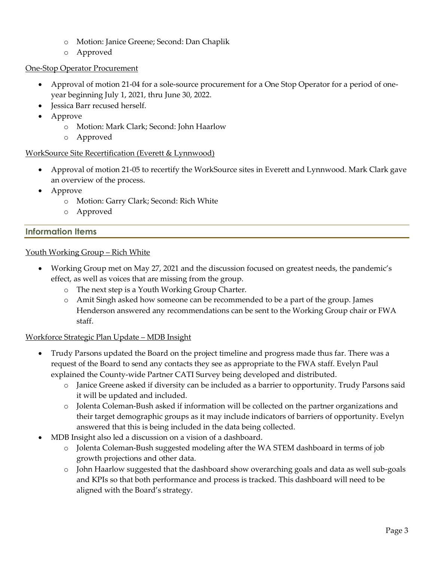- o Motion: Janice Greene; Second: Dan Chaplik
- o Approved

# One-Stop Operator Procurement

- Approval of motion 21-04 for a sole-source procurement for a One Stop Operator for a period of oneyear beginning July 1, 2021, thru June 30, 2022.
- Jessica Barr recused herself.
- Approve
	- o Motion: Mark Clark; Second: John Haarlow
	- o Approved

# WorkSource Site Recertification (Everett & Lynnwood)

- Approval of motion 21-05 to recertify the WorkSource sites in Everett and Lynnwood. Mark Clark gave an overview of the process.
- Approve
	- o Motion: Garry Clark; Second: Rich White
	- o Approved

# **Information Items**

## Youth Working Group – Rich White

- Working Group met on May 27, 2021 and the discussion focused on greatest needs, the pandemic's effect, as well as voices that are missing from the group.
	- o The next step is a Youth Working Group Charter.
	- o Amit Singh asked how someone can be recommended to be a part of the group. James Henderson answered any recommendations can be sent to the Working Group chair or FWA staff.

# Workforce Strategic Plan Update – MDB Insight

- Trudy Parsons updated the Board on the project timeline and progress made thus far. There was a request of the Board to send any contacts they see as appropriate to the FWA staff. Evelyn Paul explained the County-wide Partner CATI Survey being developed and distributed.
	- o Janice Greene asked if diversity can be included as a barrier to opportunity. Trudy Parsons said it will be updated and included.
	- o Jolenta Coleman-Bush asked if information will be collected on the partner organizations and their target demographic groups as it may include indicators of barriers of opportunity. Evelyn answered that this is being included in the data being collected.
- MDB Insight also led a discussion on a vision of a dashboard.
	- o Jolenta Coleman-Bush suggested modeling after the WA STEM dashboard in terms of job growth projections and other data.
	- o John Haarlow suggested that the dashboard show overarching goals and data as well sub-goals and KPIs so that both performance and process is tracked. This dashboard will need to be aligned with the Board's strategy.